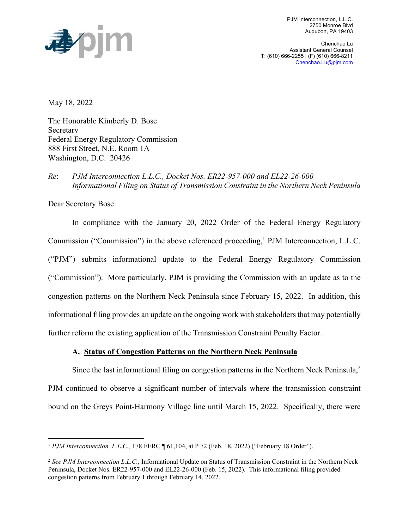

PJM Interconnection, L.L.C. 2750 Monroe Blvd Audubon, PA 19403

Chenchao Lu Assistant General Counsel T: (610) 666-2255 | (F) (610) 666-8211 Chenchao.Lu@pjm.com

May 18, 2022

The Honorable Kimberly D. Bose Secretary Federal Energy Regulatory Commission 888 First Street, N.E. Room 1A Washington, D.C. 20426

## *Re*: *PJM Interconnection L.L.C., Docket Nos. ER22-957-000 and EL22-26-000 Informational Filing on Status of Transmission Constraint in the Northern Neck Peninsula*

Dear Secretary Bose:

In compliance with the January 20, 2022 Order of the Federal Energy Regulatory Commission ("Commission") in the above referenced proceeding,<sup>1</sup> PJM Interconnection, L.L.C. ("PJM") submits informational update to the Federal Energy Regulatory Commission ("Commission"). More particularly, PJM is providing the Commission with an update as to the congestion patterns on the Northern Neck Peninsula since February 15, 2022. In addition, this informational filing provides an update on the ongoing work with stakeholders that may potentially further reform the existing application of the Transmission Constraint Penalty Factor.

### **A. Status of Congestion Patterns on the Northern Neck Peninsula**

Since the last informational filing on congestion patterns in the Northern Neck Peninsula, $2$ PJM continued to observe a significant number of intervals where the transmission constraint bound on the Greys Point-Harmony Village line until March 15, 2022. Specifically, there were

<sup>&</sup>lt;sup>1</sup> *PJM Interconnection, L.L.C., 178 FERC* ¶ 61,104, at P 72 (Feb. 18, 2022) ("February 18 Order").

<sup>2</sup> *See PJM Interconnection L.L.C.*, Informational Update on Status of Transmission Constraint in the Northern Neck Peninsula, Docket Nos. ER22-957-000 and EL22-26-000 (Feb. 15, 2022). This informational filing provided congestion patterns from February 1 through February 14, 2022.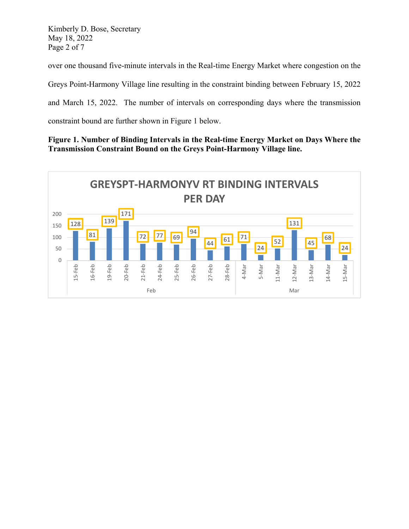Kimberly D. Bose, Secretary May 18, 2022 Page 2 of 7

over one thousand five-minute intervals in the Real-time Energy Market where congestion on the

Greys Point-Harmony Village line resulting in the constraint binding between February 15, 2022

and March 15, 2022. The number of intervals on corresponding days where the transmission

constraint bound are further shown in Figure 1 below.

## **Figure 1. Number of Binding Intervals in the Real-time Energy Market on Days Where the Transmission Constraint Bound on the Greys Point-Harmony Village line.**

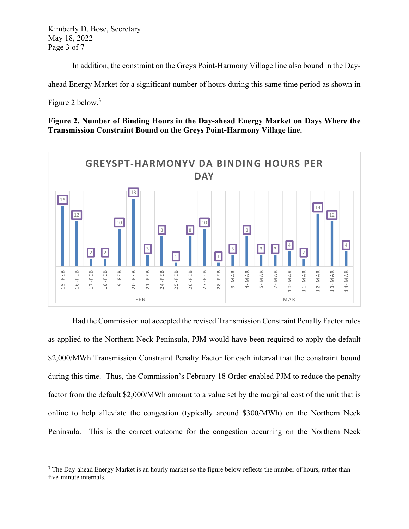Kimberly D. Bose, Secretary May 18, 2022 Page 3 of 7

In addition, the constraint on the Greys Point-Harmony Village line also bound in the Day-

ahead Energy Market for a significant number of hours during this same time period as shown in

Figure 2 below.<sup>3</sup>

**Figure 2. Number of Binding Hours in the Day-ahead Energy Market on Days Where the Transmission Constraint Bound on the Greys Point-Harmony Village line.** 



Had the Commission not accepted the revised Transmission Constraint Penalty Factor rules as applied to the Northern Neck Peninsula, PJM would have been required to apply the default \$2,000/MWh Transmission Constraint Penalty Factor for each interval that the constraint bound during this time. Thus, the Commission's February 18 Order enabled PJM to reduce the penalty factor from the default \$2,000/MWh amount to a value set by the marginal cost of the unit that is online to help alleviate the congestion (typically around \$300/MWh) on the Northern Neck Peninsula. This is the correct outcome for the congestion occurring on the Northern Neck

<sup>&</sup>lt;sup>3</sup> The Day-ahead Energy Market is an hourly market so the figure below reflects the number of hours, rather than five-minute internals.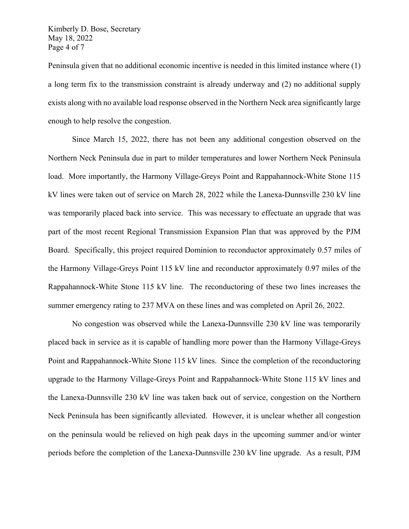Kimberly D. Bose, Secretary May 18, 2022 Page 4 of 7

Peninsula given that no additional economic incentive is needed in this limited instance where (1) a long term fix to the transmission constraint is already underway and (2) no additional supply exists along with no available load response observed in the Northern Neck area significantly large enough to help resolve the congestion.

Since March 15, 2022, there has not been any additional congestion observed on the Northern Neck Peninsula due in part to milder temperatures and lower Northern Neck Peninsula load. More importantly, the Harmony Village-Greys Point and Rappahannock-White Stone 115 kV lines were taken out of service on March 28, 2022 while the Lanexa-Dunnsville 230 kV line was temporarily placed back into service. This was necessary to effectuate an upgrade that was part of the most recent Regional Transmission Expansion Plan that was approved by the PJM Board. Specifically, this project required Dominion to reconductor approximately 0.57 miles of the Harmony Village-Greys Point 115 kV line and reconductor approximately 0.97 miles of the Rappahannock-White Stone 115 kV line. The reconductoring of these two lines increases the summer emergency rating to 237 MVA on these lines and was completed on April 26, 2022.

No congestion was observed while the Lanexa-Dunnsville 230 kV line was temporarily placed back in service as it is capable of handling more power than the Harmony Village-Greys Point and Rappahannock-White Stone 115 kV lines. Since the completion of the reconductoring upgrade to the Harmony Village-Greys Point and Rappahannock-White Stone 115 kV lines and the Lanexa-Dunnsville 230 kV line was taken back out of service, congestion on the Northern Neck Peninsula has been significantly alleviated. However, it is unclear whether all congestion on the peninsula would be relieved on high peak days in the upcoming summer and/or winter periods before the completion of the Lanexa-Dunnsville 230 kV line upgrade. As a result, PJM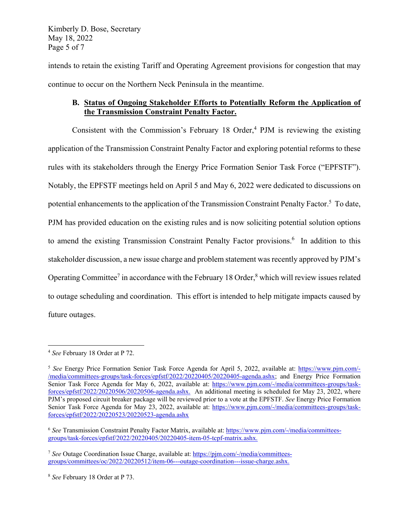Kimberly D. Bose, Secretary May 18, 2022 Page 5 of 7

intends to retain the existing Tariff and Operating Agreement provisions for congestion that may continue to occur on the Northern Neck Peninsula in the meantime.

# **B. Status of Ongoing Stakeholder Efforts to Potentially Reform the Application of the Transmission Constraint Penalty Factor.**

Consistent with the Commission's February 18 Order, $4$  PJM is reviewing the existing application of the Transmission Constraint Penalty Factor and exploring potential reforms to these rules with its stakeholders through the Energy Price Formation Senior Task Force ("EPFSTF"). Notably, the EPFSTF meetings held on April 5 and May 6, 2022 were dedicated to discussions on potential enhancements to the application of the Transmission Constraint Penalty Factor.<sup>5</sup> To date, PJM has provided education on the existing rules and is now soliciting potential solution options to amend the existing Transmission Constraint Penalty Factor provisions.<sup>6</sup> In addition to this stakeholder discussion, a new issue charge and problem statement was recently approved by PJM's Operating Committee<sup>7</sup> in accordance with the February 18 Order,<sup>8</sup> which will review issues related to outage scheduling and coordination. This effort is intended to help mitigate impacts caused by future outages.

 <sup>4</sup> *See* February 18 Order at P 72.

<sup>5</sup> *See* Energy Price Formation Senior Task Force Agenda for April 5, 2022, available at: https://www.pjm.com/- /media/committees-groups/task-forces/epfstf/2022/20220405/20220405-agenda.ashx; and Energy Price Formation Senior Task Force Agenda for May 6, 2022, available at: https://www.pjm.com/-/media/committees-groups/taskforces/epfstf/2022/20220506/20220506-agenda.ashx. An additional meeting is scheduled for May 23, 2022, where PJM's proposed circuit breaker package will be reviewed prior to a vote at the EPFSTF. *See* Energy Price Formation Senior Task Force Agenda for May 23, 2022, available at: https://www.pjm.com/-/media/committees-groups/taskforces/epfstf/2022/20220523/20220523-agenda.ashx

<sup>6</sup> *See* Transmission Constraint Penalty Factor Matrix, available at: https://www.pjm.com/-/media/committeesgroups/task-forces/epfstf/2022/20220405/20220405-item-05-tcpf-matrix.ashx.

<sup>7</sup> *See* Outage Coordination Issue Charge, available at: https://pjm.com/-/media/committeesgroups/committees/oc/2022/20220512/item-06---outage-coordination---issue-charge.ashx.

<sup>8</sup> *See* February 18 Order at P 73.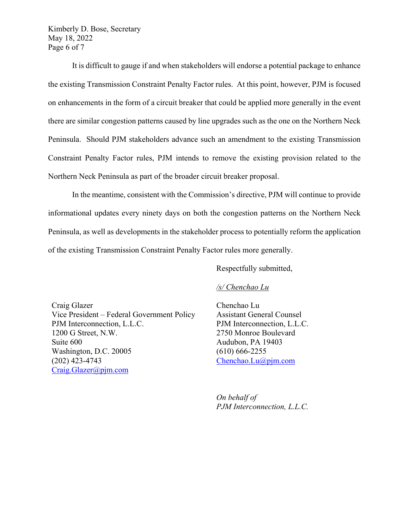Kimberly D. Bose, Secretary May 18, 2022 Page 6 of 7

It is difficult to gauge if and when stakeholders will endorse a potential package to enhance the existing Transmission Constraint Penalty Factor rules. At this point, however, PJM is focused on enhancements in the form of a circuit breaker that could be applied more generally in the event there are similar congestion patterns caused by line upgrades such as the one on the Northern Neck Peninsula. Should PJM stakeholders advance such an amendment to the existing Transmission Constraint Penalty Factor rules, PJM intends to remove the existing provision related to the Northern Neck Peninsula as part of the broader circuit breaker proposal.

In the meantime, consistent with the Commission's directive, PJM will continue to provide informational updates every ninety days on both the congestion patterns on the Northern Neck Peninsula, as well as developments in the stakeholder process to potentially reform the application of the existing Transmission Constraint Penalty Factor rules more generally.

Respectfully submitted,

#### */s/ Chenchao Lu*

Craig Glazer Vice President – Federal Government Policy PJM Interconnection, L.L.C. 1200 G Street, N.W. Suite 600 Washington, D.C. 20005 (202) 423-4743 Craig.Glazer@pjm.com

Chenchao Lu Assistant General Counsel PJM Interconnection, L.L.C. 2750 Monroe Boulevard Audubon, PA 19403 (610) 666-2255 Chenchao.Lu@pjm.com

*On behalf of PJM Interconnection, L.L.C.*